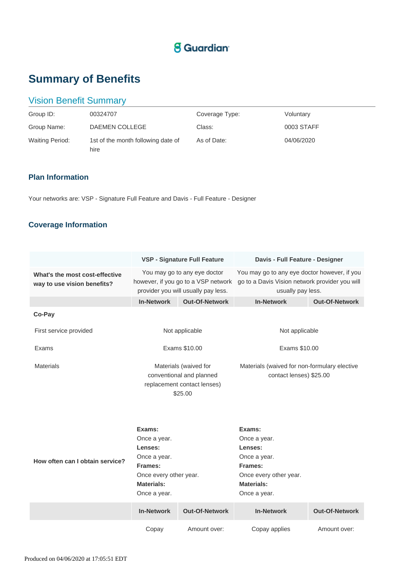# **S** Guardian<sup>®</sup>

# **Summary of Benefits**

## Vision Benefit Summary

| Group ID:              | 00324707                                   | Coverage Type: | Voluntary  |
|------------------------|--------------------------------------------|----------------|------------|
| Group Name:            | DAEMEN COLLEGE                             | Class:         | 0003 STAFF |
| <b>Waiting Period:</b> | 1st of the month following date of<br>hire | As of Date:    | 04/06/2020 |

### **Plan Information**

Your networks are: VSP - Signature Full Feature and Davis - Full Feature - Designer

## **Coverage Information**

|                                                               | <b>VSP - Signature Full Feature</b>                                                                                         |                       | Davis - Full Feature - Designer                                                                                             |                       |
|---------------------------------------------------------------|-----------------------------------------------------------------------------------------------------------------------------|-----------------------|-----------------------------------------------------------------------------------------------------------------------------|-----------------------|
| What's the most cost-effective<br>way to use vision benefits? | You may go to any eye doctor<br>however, if you go to a VSP network<br>provider you will usually pay less.                  |                       | You may go to any eye doctor however, if you<br>go to a Davis Vision network provider you will<br>usually pay less.         |                       |
|                                                               | <b>In-Network</b>                                                                                                           | <b>Out-Of-Network</b> | <b>In-Network</b>                                                                                                           | <b>Out-Of-Network</b> |
| Co-Pay                                                        |                                                                                                                             |                       |                                                                                                                             |                       |
| First service provided                                        | Not applicable                                                                                                              |                       | Not applicable                                                                                                              |                       |
| Exams                                                         | Exams \$10.00                                                                                                               |                       | Exams \$10.00                                                                                                               |                       |
| <b>Materials</b>                                              | Materials (waived for<br>conventional and planned<br>replacement contact lenses)<br>\$25.00                                 |                       | Materials (waived for non-formulary elective<br>contact lenses) \$25.00                                                     |                       |
| How often can I obtain service?                               | Exams:<br>Once a year.<br>Lenses:<br>Once a year.<br>Frames:<br>Once every other year.<br><b>Materials:</b><br>Once a year. |                       | Exams:<br>Once a year.<br>Lenses:<br>Once a year.<br>Frames:<br>Once every other year.<br><b>Materials:</b><br>Once a year. |                       |
|                                                               | <b>In-Network</b>                                                                                                           | <b>Out-Of-Network</b> | <b>In-Network</b>                                                                                                           | <b>Out-Of-Network</b> |
|                                                               | Copay                                                                                                                       | Amount over:          | Copay applies                                                                                                               | Amount over:          |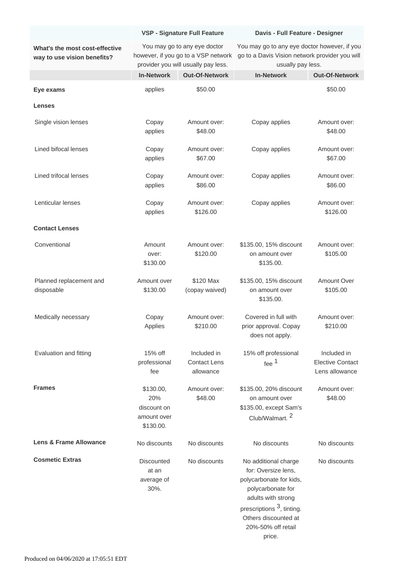|                                                               | <b>VSP - Signature Full Feature</b>                                                                        |                                                 | Davis - Full Feature - Designer                                                                                                                                                                                    |                                                          |
|---------------------------------------------------------------|------------------------------------------------------------------------------------------------------------|-------------------------------------------------|--------------------------------------------------------------------------------------------------------------------------------------------------------------------------------------------------------------------|----------------------------------------------------------|
| What's the most cost-effective<br>way to use vision benefits? | You may go to any eye doctor<br>however, if you go to a VSP network<br>provider you will usually pay less. |                                                 | You may go to any eye doctor however, if you<br>go to a Davis Vision network provider you will<br>usually pay less.                                                                                                |                                                          |
|                                                               | <b>In-Network</b>                                                                                          | <b>Out-Of-Network</b>                           | <b>In-Network</b>                                                                                                                                                                                                  | <b>Out-Of-Network</b>                                    |
| Eye exams                                                     | applies                                                                                                    | \$50.00                                         |                                                                                                                                                                                                                    | \$50.00                                                  |
| <b>Lenses</b>                                                 |                                                                                                            |                                                 |                                                                                                                                                                                                                    |                                                          |
| Single vision lenses                                          | Copay<br>applies                                                                                           | Amount over:<br>\$48.00                         | Copay applies                                                                                                                                                                                                      | Amount over:<br>\$48.00                                  |
| Lined bifocal lenses                                          | Copay<br>applies                                                                                           | Amount over:<br>\$67.00                         | Copay applies                                                                                                                                                                                                      | Amount over:<br>\$67.00                                  |
| Lined trifocal lenses                                         | Copay<br>applies                                                                                           | Amount over:<br>\$86.00                         | Copay applies                                                                                                                                                                                                      | Amount over:<br>\$86.00                                  |
| Lenticular lenses                                             | Copay<br>applies                                                                                           | Amount over:<br>\$126.00                        | Copay applies                                                                                                                                                                                                      | Amount over:<br>\$126.00                                 |
| <b>Contact Lenses</b>                                         |                                                                                                            |                                                 |                                                                                                                                                                                                                    |                                                          |
| Conventional                                                  | Amount<br>over:<br>\$130.00                                                                                | Amount over:<br>\$120.00                        | \$135.00, 15% discount<br>on amount over<br>\$135.00.                                                                                                                                                              | Amount over:<br>\$105.00                                 |
| Planned replacement and<br>disposable                         | Amount over<br>\$130.00                                                                                    | \$120 Max<br>(copay waived)                     | \$135.00, 15% discount<br>on amount over<br>\$135.00.                                                                                                                                                              | Amount Over<br>\$105.00                                  |
| Medically necessary                                           | Copay<br>Applies                                                                                           | Amount over:<br>\$210.00                        | Covered in full with<br>prior approval. Copay<br>does not apply.                                                                                                                                                   | Amount over:<br>\$210.00                                 |
| Evaluation and fitting                                        | $15%$ off<br>professional<br>fee                                                                           | Included in<br><b>Contact Lens</b><br>allowance | 15% off professional<br>fee $1$                                                                                                                                                                                    | Included in<br><b>Elective Contact</b><br>Lens allowance |
| <b>Frames</b>                                                 | \$130.00,<br>20%<br>discount on<br>amount over<br>\$130.00.                                                | Amount over:<br>\$48.00                         | \$135.00, 20% discount<br>on amount over<br>\$135.00, except Sam's<br>Club/Walmart. <sup>2</sup>                                                                                                                   | Amount over:<br>\$48.00                                  |
| <b>Lens &amp; Frame Allowance</b>                             | No discounts                                                                                               | No discounts                                    | No discounts                                                                                                                                                                                                       | No discounts                                             |
| <b>Cosmetic Extras</b>                                        | <b>Discounted</b><br>at an<br>average of<br>30%.                                                           | No discounts                                    | No additional charge<br>for: Oversize lens,<br>polycarbonate for kids,<br>polycarbonate for<br>adults with strong<br>prescriptions <sup>3</sup> , tinting.<br>Others discounted at<br>20%-50% off retail<br>price. | No discounts                                             |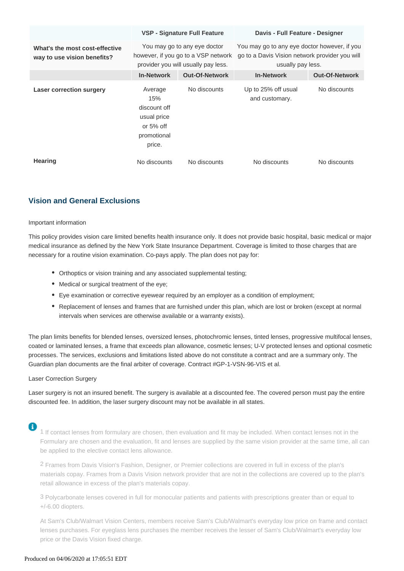|                                                               |                                                                                                            | VSP - Signature Full Feature | Davis - Full Feature - Designer                                                                                     |                       |
|---------------------------------------------------------------|------------------------------------------------------------------------------------------------------------|------------------------------|---------------------------------------------------------------------------------------------------------------------|-----------------------|
| What's the most cost-effective<br>way to use vision benefits? | You may go to any eye doctor<br>however, if you go to a VSP network<br>provider you will usually pay less. |                              | You may go to any eye doctor however, if you<br>go to a Davis Vision network provider you will<br>usually pay less. |                       |
|                                                               | <b>In-Network</b>                                                                                          | <b>Out-Of-Network</b>        | <b>In-Network</b>                                                                                                   | <b>Out-Of-Network</b> |
| <b>Laser correction surgery</b>                               | Average<br>15%<br>discount off<br>usual price<br>or $5%$ off<br>promotional<br>price.                      | No discounts                 | Up to 25% off usual<br>and customary.                                                                               | No discounts          |
| <b>Hearing</b>                                                | No discounts                                                                                               | No discounts                 | No discounts                                                                                                        | No discounts          |

### **Vision and General Exclusions**

### Important information

This policy provides vision care limited benefits health insurance only. It does not provide basic hospital, basic medical or major medical insurance as defined by the New York State Insurance Department. Coverage is limited to those charges that are necessary for a routine vision examination. Co-pays apply. The plan does not pay for:

- Orthoptics or vision training and any associated supplemental testing;
- Medical or surgical treatment of the eye;
- Eye examination or corrective eyewear required by an employer as a condition of employment;
- Replacement of lenses and frames that are furnished under this plan, which are lost or broken (except at normal intervals when services are otherwise available or a warranty exists).

The plan limits benefits for blended lenses, oversized lenses, photochromic lenses, tinted lenses, progressive multifocal lenses, coated or laminated lenses, a frame that exceeds plan allowance, cosmetic lenses; U-V protected lenses and optional cosmetic processes. The services, exclusions and limitations listed above do not constitute a contract and are a summary only. The Guardian plan documents are the final arbiter of coverage. Contract #GP-1-VSN-96-VIS et al.

### Laser Correction Surgery

Laser surgery is not an insured benefit. The surgery is available at a discounted fee. The covered person must pay the entire discounted fee. In addition, the laser surgery discount may not be available in all states.

1 If contact lenses from formulary are chosen, then evaluation and fit may be included. When contact lenses not in the Formulary are chosen and the evaluation, fit and lenses are supplied by the same vision provider at the same time, all can be applied to the elective contact lens allowance.

2 Frames from Davis Vision's Fashion, Designer, or Premier collections are covered in full in excess of the plan's materials copay. Frames from a Davis Vision network provider that are not in the collections are covered up to the plan's retail allowance in excess of the plan's materials copay.

3 Polycarbonate lenses covered in full for monocular patients and patients with prescriptions greater than or equal to +/-6.00 diopters.

At Sam's Club/Walmart Vision Centers, members receive Sam's Club/Walmart's everyday low price on frame and contact lenses purchases. For eyeglass lens purchases the member receives the lesser of Sam's Club/Walmart's everyday low price or the Davis Vision fixed charge.

### Produced on 04/06/2020 at 17:05:51 EDT